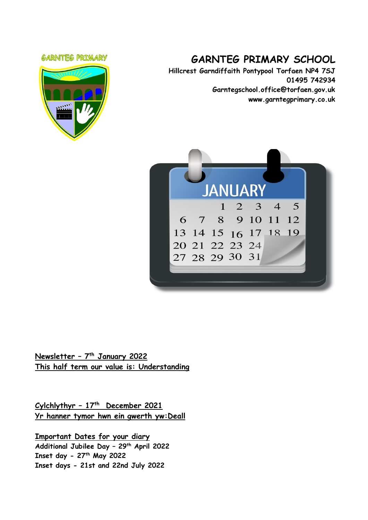#### **GARNTEG PRIMARY**



# **GARNTEG PRIMARY SCHOOL**

**Hillcrest Garndiffaith Pontypool Torfaen NP4 7SJ 01495 742934 Garntegschool.office@torfaen.gov.uk www.garntegprimary.co.uk**



**Newsletter – 7 th January 2022 This half term our value is: Understanding**

**Cylchlythyr – 17 th December 2021 Yr hanner tymor hwn ein gwerth yw:Deall**

**Important Dates for your diary Additional Jubilee Day – 29th April 2022 Inset day - 27th May 2022 Inset days - 21st and 22nd July 2022**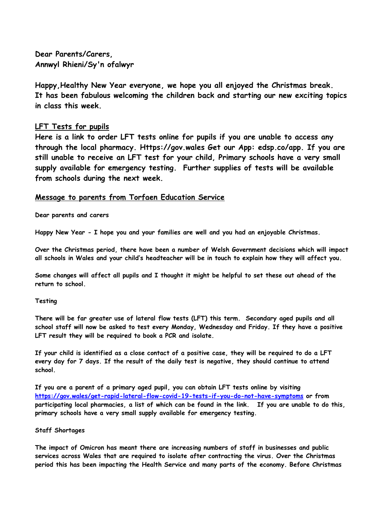**Dear Parents/Carers, Annwyl Rhieni/Sy'n ofalwyr**

**Happy,Healthy New Year everyone, we hope you all enjoyed the Christmas break. It has been fabulous welcoming the children back and starting our new exciting topics in class this week.**

### **LFT Tests for pupils**

**Here is a link to order LFT tests online for pupils if you are unable to access any through the local pharmacy. Https://gov.wales Get our App: edsp.co/app. If you are still unable to receive an LFT test for your child, Primary schools have a very small supply available for emergency testing. Further supplies of tests will be available from schools during the next week.**

#### **Message to parents from Torfaen Education Service**

**Dear parents and carers**

**Happy New Year - I hope you and your families are well and you had an enjoyable Christmas.**

**Over the Christmas period, there have been a number of Welsh Government decisions which will impact all schools in Wales and your child's headteacher will be in touch to explain how they will affect you.**

**Some changes will affect all pupils and I thought it might be helpful to set these out ahead of the return to school.**

#### **Testing**

**There will be far greater use of lateral flow tests (LFT) this term. Secondary aged pupils and all school staff will now be asked to test every Monday, Wednesday and Friday. If they have a positive LFT result they will be required to book a PCR and isolate.**

**If your child is identified as a close contact of a positive case, they will be required to do a LFT every day for 7 days. If the result of the daily test is negative, they should continue to attend school.**

**If you are a parent of a primary aged pupil, you can obtain LFT tests online by visiting [https://gov.wales/get-rapid-lateral-flow-covid-19-tests-if-you-do-not-have-symptoms](https://eur03.safelinks.protection.outlook.com/?url=https%3A%2F%2Fgov.wales%2Fget-rapid-lateral-flow-covid-19-tests-if-you-do-not-have-symptoms&data=04%7C01%7CSharron.Williams%40torfaen.gov.uk%7C282bf50218b54f2c723d08d9d06363c0%7C2c4d0079c52c4bb3b3cad8eaf1b6b7d5%7C0%7C0%7C637769947554476080%7CUnknown%7CTWFpbGZsb3d8eyJWIjoiMC4wLjAwMDAiLCJQIjoiV2luMzIiLCJBTiI6Ik1haWwiLCJXVCI6Mn0%3D%7C3000&sdata=ucIcJEtymuT9At%2Fy91bRT%2FgILtfF0wV7r9IfajTmHKI%3D&reserved=0) or from participating local pharmacies, a list of which can be found in the link. If you are unable to do this, primary schools have a very small supply available for emergency testing.**

#### **Staff Shortages**

**The impact of Omicron has meant there are increasing numbers of staff in businesses and public services across Wales that are required to isolate after contracting the virus. Over the Christmas period this has been impacting the Health Service and many parts of the economy. Before Christmas**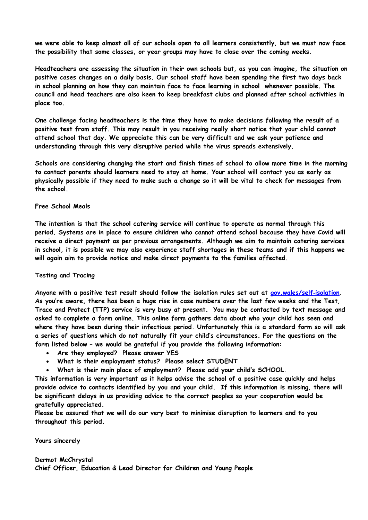**we were able to keep almost all of our schools open to all learners consistently, but we must now face the possibility that some classes, or year groups may have to close over the coming weeks.** 

**Headteachers are assessing the situation in their own schools but, as you can imagine, the situation on positive cases changes on a daily basis. Our school staff have been spending the first two days back in school planning on how they can maintain face to face learning in school whenever possible. The council and head teachers are also keen to keep breakfast clubs and planned after school activities in place too.** 

**One challenge facing headteachers is the time they have to make decisions following the result of a positive test from staff. This may result in you receiving really short notice that your child cannot attend school that day. We appreciate this can be very difficult and we ask your patience and understanding through this very disruptive period while the virus spreads extensively.** 

**Schools are considering changing the start and finish times of school to allow more time in the morning to contact parents should learners need to stay at home. Your school will contact you as early as physically possible if they need to make such a change so it will be vital to check for messages from the school.**

#### **Free School Meals**

**The intention is that the school catering service will continue to operate as normal through this period. Systems are in place to ensure children who cannot attend school because they have Covid will receive a direct payment as per previous arrangements. Although we aim to maintain catering services in school, it is possible we may also experience staff shortages in these teams and if this happens we will again aim to provide notice and make direct payments to the families affected.**

#### **Testing and Tracing**

**Anyone with a positive test result should follow the isolation rules set out at [gov.wales/self](https://eur03.safelinks.protection.outlook.com/?url=http%3A%2F%2Fwww.gov.wales%2Fself-isolation&data=04%7C01%7CSharron.Williams%40torfaen.gov.uk%7C282bf50218b54f2c723d08d9d06363c0%7C2c4d0079c52c4bb3b3cad8eaf1b6b7d5%7C0%7C0%7C637769947554486035%7CUnknown%7CTWFpbGZsb3d8eyJWIjoiMC4wLjAwMDAiLCJQIjoiV2luMzIiLCJBTiI6Ik1haWwiLCJXVCI6Mn0%3D%7C3000&sdata=kICWS5fEqyozUDOa270wOiYIGON7rPm7osa0xSA8tyw%3D&reserved=0)‑isolation. As you're aware, there has been a huge rise in case numbers over the last few weeks and the Test, Trace and Protect (TTP) service is very busy at present. You may be contacted by text message and asked to complete a form online. This online form gathers data about who your child has seen and where they have been during their infectious period. Unfortunately this is a standard form so will ask a series of questions which do not naturally fit your child's circumstances. For the questions on the form listed below – we would be grateful if you provide the following information:**

- **Are they employed? Please answer YES**
- **What is their employment status? Please select STUDENT**
- **What is their main place of employment? Please add your child's SCHOOL.**

**This information is very important as it helps advise the school of a positive case quickly and helps provide advice to contacts identified by you and your child. If this information is missing, there will be significant delays in us providing advice to the correct peoples so your cooperation would be gratefully appreciated.** 

**Please be assured that we will do our very best to minimise disruption to learners and to you throughout this period.** 

**Yours sincerely**

**Dermot McChrystal Chief Officer, Education & Lead Director for Children and Young People**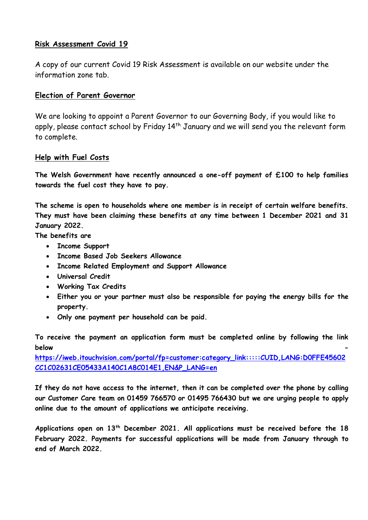# **Risk Assessment Covid 19**

A copy of our current Covid 19 Risk Assessment is available on our website under the information zone tab.

# **Election of Parent Governor**

We are looking to appoint a Parent Governor to our Governing Body, if you would like to apply, please contact school by Friday 14<sup>th</sup> January and we will send you the relevant form to complete.

# **Help with Fuel Costs**

**The Welsh Government have recently announced a one-off payment of £100 to help families towards the fuel cost they have to pay.** 

**The scheme is open to households where one member is in receipt of certain welfare benefits. They must have been claiming these benefits at any time between 1 December 2021 and 31 January 2022.**

**The benefits are**

- **Income Support**
- **Income Based Job Seekers Allowance**
- **Income Related Employment and Support Allowance**
- **Universal Credit**
- **Working Tax Credits**
- **Either you or your partner must also be responsible for paying the energy bills for the property.**
- **Only one payment per household can be paid.**

**To receive the payment an application form must be completed online by following the link below -**

**[https://iweb.itouchvision.com/portal/fp=customer:category\\_link:::::CUID,LANG:D0FFE45602](https://eur03.safelinks.protection.outlook.com/?url=https%3A%2F%2Fiweb.itouchvision.com%2Fportal%2Ff%3Fp%3Dcustomer%3Acategory_link%3A%3A%3A%3A%3ACUID%2CLANG%3AD0FFE45602CC1C02631CE05433A140C1A8C014E1%2CEN%26P_LANG%3Den&data=04%7C01%7Cgarntegschool.office%40torfaen.gov.uk%7C8a19f36e3aae4f73be1008d9ba33812a%7C2c4d0079c52c4bb3b3cad8eaf1b6b7d5%7C0%7C0%7C637745552634570697%7CUnknown%7CTWFpbGZsb3d8eyJWIjoiMC4wLjAwMDAiLCJQIjoiV2luMzIiLCJBTiI6Ik1haWwiLCJXVCI6Mn0%3D%7C3000&sdata=d8OwtLYbjPZ18%2BPK3%2F71I3l8ALc0nWEt7v0kIH%2BnK5Y%3D&reserved=0) [CC1C02631CE05433A140C1A8C014E1,EN&P\\_LANG=en](https://eur03.safelinks.protection.outlook.com/?url=https%3A%2F%2Fiweb.itouchvision.com%2Fportal%2Ff%3Fp%3Dcustomer%3Acategory_link%3A%3A%3A%3A%3ACUID%2CLANG%3AD0FFE45602CC1C02631CE05433A140C1A8C014E1%2CEN%26P_LANG%3Den&data=04%7C01%7Cgarntegschool.office%40torfaen.gov.uk%7C8a19f36e3aae4f73be1008d9ba33812a%7C2c4d0079c52c4bb3b3cad8eaf1b6b7d5%7C0%7C0%7C637745552634570697%7CUnknown%7CTWFpbGZsb3d8eyJWIjoiMC4wLjAwMDAiLCJQIjoiV2luMzIiLCJBTiI6Ik1haWwiLCJXVCI6Mn0%3D%7C3000&sdata=d8OwtLYbjPZ18%2BPK3%2F71I3l8ALc0nWEt7v0kIH%2BnK5Y%3D&reserved=0)**

**If they do not have access to the internet, then it can be completed over the phone by calling our Customer Care team on 01459 766570 or 01495 766430 but we are urging people to apply online due to the amount of applications we anticipate receiving.**

**Applications open on 13th December 2021. All applications must be received before the 18 February 2022. Payments for successful applications will be made from January through to end of March 2022.**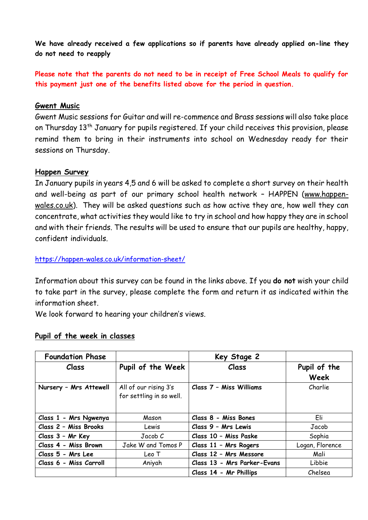**We have already received a few applications so if parents have already applied on-line they do not need to reapply**

**Please note that the parents do not need to be in receipt of Free School Meals to qualify for this payment just one of the benefits listed above for the period in question.**

# **Gwent Music**

Gwent Music sessions for Guitar and will re-commence and Brass sessions will also take place on Thursday 13<sup>th</sup> January for pupils registered. If your child receives this provision, please remind them to bring in their instruments into school on Wednesday ready for their sessions on Thursday.

### **Happen Survey**

In January pupils in years 4,5 and 6 will be asked to complete a short survey on their health and well-being as part of our primary school health network – HAPPEN [\(www.happen](https://eur03.safelinks.protection.outlook.com/?url=http%3A%2F%2Fwww.happen-wales.co.uk%2F&data=04%7C01%7CLinda.Davies%40torfaen.gov.uk%7Ccba7c9cdf62f4c6b03dd08d9b64fe66e%7C2c4d0079c52c4bb3b3cad8eaf1b6b7d5%7C0%7C0%7C637741276539056152%7CUnknown%7CTWFpbGZsb3d8eyJWIjoiMC4wLjAwMDAiLCJQIjoiV2luMzIiLCJBTiI6Ik1haWwiLCJXVCI6Mn0%3D%7C3000&sdata=OXBHW4wW2Ip9c6bKQ%2FhQNte7Mfel5tXdib5spxY6mPo%3D&reserved=0)[wales.co.uk\)](https://eur03.safelinks.protection.outlook.com/?url=http%3A%2F%2Fwww.happen-wales.co.uk%2F&data=04%7C01%7CLinda.Davies%40torfaen.gov.uk%7Ccba7c9cdf62f4c6b03dd08d9b64fe66e%7C2c4d0079c52c4bb3b3cad8eaf1b6b7d5%7C0%7C0%7C637741276539056152%7CUnknown%7CTWFpbGZsb3d8eyJWIjoiMC4wLjAwMDAiLCJQIjoiV2luMzIiLCJBTiI6Ik1haWwiLCJXVCI6Mn0%3D%7C3000&sdata=OXBHW4wW2Ip9c6bKQ%2FhQNte7Mfel5tXdib5spxY6mPo%3D&reserved=0). They will be asked questions such as how active they are, how well they can concentrate, what activities they would like to try in school and how happy they are in school and with their friends. The results will be used to ensure that our pupils are healthy, happy, confident individuals.

### [https://happen-wales.co.uk/information-sheet/](https://eur03.safelinks.protection.outlook.com/?url=https%3A%2F%2Fhappen-wales.co.uk%2Finformation-sheet%2F&data=04%7C01%7CLinda.Davies%40torfaen.gov.uk%7Ccba7c9cdf62f4c6b03dd08d9b64fe66e%7C2c4d0079c52c4bb3b3cad8eaf1b6b7d5%7C0%7C0%7C637741276539066123%7CUnknown%7CTWFpbGZsb3d8eyJWIjoiMC4wLjAwMDAiLCJQIjoiV2luMzIiLCJBTiI6Ik1haWwiLCJXVCI6Mn0%3D%7C3000&sdata=B1HtoQdy5coc70gbKZYChWvYK3bUxoGx6tKzs%2FRqSPo%3D&reserved=0)

Information about this survey can be found in the links above. If you **do not** wish your child to take part in the survey, please complete the form and return it as indicated within the information sheet.

We look forward to hearing your children's views.

| <b>Foundation Phase</b> |                                                   | Key Stage 2                 |                      |
|-------------------------|---------------------------------------------------|-----------------------------|----------------------|
| Class                   | Pupil of the Week                                 | Class                       | Pupil of the<br>Week |
| Nursery - Mrs Attewell  | All of our rising 3's<br>for settling in so well. | Class 7 - Miss Williams     | Charlie              |
| Class 1 - Mrs Ngwenya   | Mason                                             | Class 8 - Miss Bones        | Eli                  |
| Class 2 - Miss Brooks   | Lewis                                             | Class 9 - Mrs Lewis         | Jacob                |
| Class 3 - Mr Key        | Jacob C                                           | Class 10 - Miss Paske       | Sophia               |
| Class 4 - Miss Brown    | Jake W and Tomos P                                | Class 11 - Mrs Rogers       | Logan, Florence      |
| Class 5 - Mrs Lee       | Leo T                                             | Class 12 - Mrs Messore      | Mali                 |
| Class 6 - Miss Carroll  | Aniyah                                            | Class 13 - Mrs Parker-Evans | Libbie               |
|                         |                                                   | Class 14 - Mr Phillips      | Chelsea              |

# **Pupil of the week in classes**